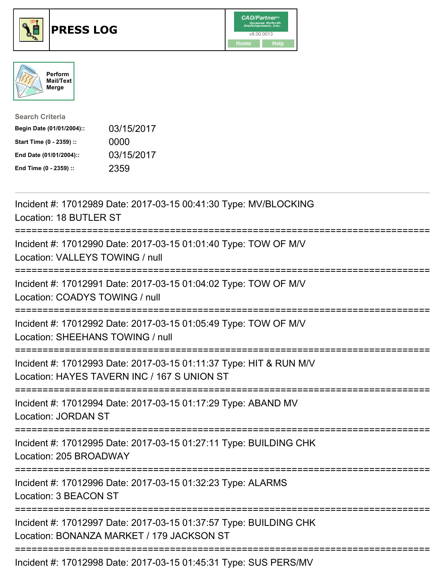

## **PRESS LOG** v8.00.0013





| <b>Search Criteria</b>    |            |
|---------------------------|------------|
| Begin Date (01/01/2004):: | 03/15/2017 |
| Start Time (0 - 2359) ::  | 0000       |
| End Date (01/01/2004)::   | 03/15/2017 |
| End Time (0 - 2359) ::    | 2359       |

Incident #: 17012989 Date: 2017-03-15 00:41:30 Type: MV/BLOCKING Location: 18 BUTLER ST =========================================================================== Incident #: 17012990 Date: 2017-03-15 01:01:40 Type: TOW OF M/V Location: VALLEYS TOWING / null =========================================================================== Incident #: 17012991 Date: 2017-03-15 01:04:02 Type: TOW OF M/V Location: COADYS TOWING / null =========================================================================== Incident #: 17012992 Date: 2017-03-15 01:05:49 Type: TOW OF M/V Location: SHEEHANS TOWING / null =========================================================================== Incident #: 17012993 Date: 2017-03-15 01:11:37 Type: HIT & RUN M/V Location: HAYES TAVERN INC / 167 S UNION ST =========================================================================== Incident #: 17012994 Date: 2017-03-15 01:17:29 Type: ABAND MV Location: JORDAN ST =========================================================================== Incident #: 17012995 Date: 2017-03-15 01:27:11 Type: BUILDING CHK Location: 205 BROADWAY =========================================================================== Incident #: 17012996 Date: 2017-03-15 01:32:23 Type: ALARMS Location: 3 BEACON ST =========================================================================== Incident #: 17012997 Date: 2017-03-15 01:37:57 Type: BUILDING CHK Location: BONANZA MARKET / 179 JACKSON ST =========================================================================== Incident #: 17012998 Date: 2017-03-15 01:45:31 Type: SUS PERS/MV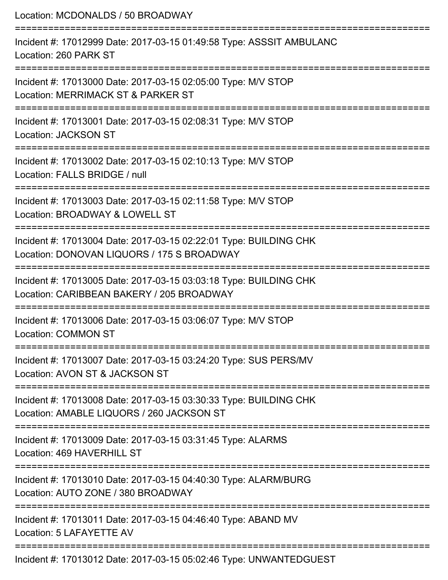| Location: MCDONALDS / 50 BROADWAY                                                                                             |
|-------------------------------------------------------------------------------------------------------------------------------|
| Incident #: 17012999 Date: 2017-03-15 01:49:58 Type: ASSSIT AMBULANC<br>Location: 260 PARK ST                                 |
| Incident #: 17013000 Date: 2017-03-15 02:05:00 Type: M/V STOP<br>Location: MERRIMACK ST & PARKER ST<br>====================== |
| Incident #: 17013001 Date: 2017-03-15 02:08:31 Type: M/V STOP<br><b>Location: JACKSON ST</b>                                  |
| Incident #: 17013002 Date: 2017-03-15 02:10:13 Type: M/V STOP<br>Location: FALLS BRIDGE / null                                |
| Incident #: 17013003 Date: 2017-03-15 02:11:58 Type: M/V STOP<br>Location: BROADWAY & LOWELL ST                               |
| Incident #: 17013004 Date: 2017-03-15 02:22:01 Type: BUILDING CHK<br>Location: DONOVAN LIQUORS / 175 S BROADWAY               |
| Incident #: 17013005 Date: 2017-03-15 03:03:18 Type: BUILDING CHK<br>Location: CARIBBEAN BAKERY / 205 BROADWAY                |
| Incident #: 17013006 Date: 2017-03-15 03:06:07 Type: M/V STOP<br><b>Location: COMMON ST</b>                                   |
| Incident #: 17013007 Date: 2017-03-15 03:24:20 Type: SUS PERS/MV<br>Location: AVON ST & JACKSON ST                            |
| Incident #: 17013008 Date: 2017-03-15 03:30:33 Type: BUILDING CHK<br>Location: AMABLE LIQUORS / 260 JACKSON ST                |
| Incident #: 17013009 Date: 2017-03-15 03:31:45 Type: ALARMS<br>Location: 469 HAVERHILL ST                                     |
| Incident #: 17013010 Date: 2017-03-15 04:40:30 Type: ALARM/BURG<br>Location: AUTO ZONE / 380 BROADWAY                         |
| Incident #: 17013011 Date: 2017-03-15 04:46:40 Type: ABAND MV<br>Location: 5 LAFAYETTE AV                                     |
| Incident #: 17013012 Date: 2017-03-15 05:02:46 Type: UNWANTEDGUEST                                                            |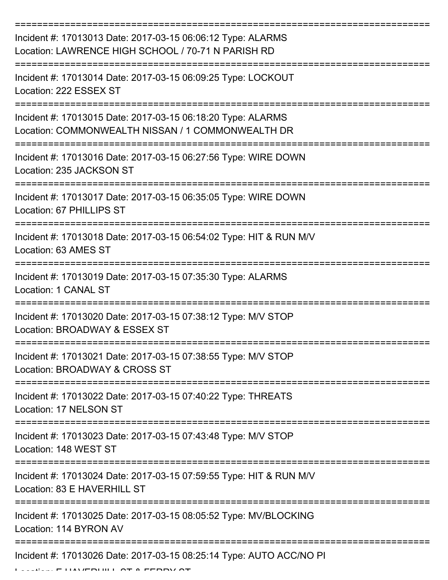| Incident #: 17013013 Date: 2017-03-15 06:06:12 Type: ALARMS<br>Location: LAWRENCE HIGH SCHOOL / 70-71 N PARISH RD |
|-------------------------------------------------------------------------------------------------------------------|
| Incident #: 17013014 Date: 2017-03-15 06:09:25 Type: LOCKOUT<br>Location: 222 ESSEX ST                            |
| Incident #: 17013015 Date: 2017-03-15 06:18:20 Type: ALARMS<br>Location: COMMONWEALTH NISSAN / 1 COMMONWEALTH DR  |
| Incident #: 17013016 Date: 2017-03-15 06:27:56 Type: WIRE DOWN<br>Location: 235 JACKSON ST                        |
| Incident #: 17013017 Date: 2017-03-15 06:35:05 Type: WIRE DOWN<br>Location: 67 PHILLIPS ST                        |
| Incident #: 17013018 Date: 2017-03-15 06:54:02 Type: HIT & RUN M/V<br>Location: 63 AMES ST                        |
| Incident #: 17013019 Date: 2017-03-15 07:35:30 Type: ALARMS<br>Location: 1 CANAL ST                               |
| Incident #: 17013020 Date: 2017-03-15 07:38:12 Type: M/V STOP<br>Location: BROADWAY & ESSEX ST                    |
| Incident #: 17013021 Date: 2017-03-15 07:38:55 Type: M/V STOP<br>Location: BROADWAY & CROSS ST                    |
| Incident #: 17013022 Date: 2017-03-15 07:40:22 Type: THREATS<br>Location: 17 NELSON ST                            |
| Incident #: 17013023 Date: 2017-03-15 07:43:48 Type: M/V STOP<br>Location: 148 WEST ST                            |
| Incident #: 17013024 Date: 2017-03-15 07:59:55 Type: HIT & RUN M/V<br>Location: 83 E HAVERHILL ST                 |
| Incident #: 17013025 Date: 2017-03-15 08:05:52 Type: MV/BLOCKING<br>Location: 114 BYRON AV                        |
| Incident #: 17013026 Date: 2017-03-15 08:25:14 Type: AUTO ACC/NO PI                                               |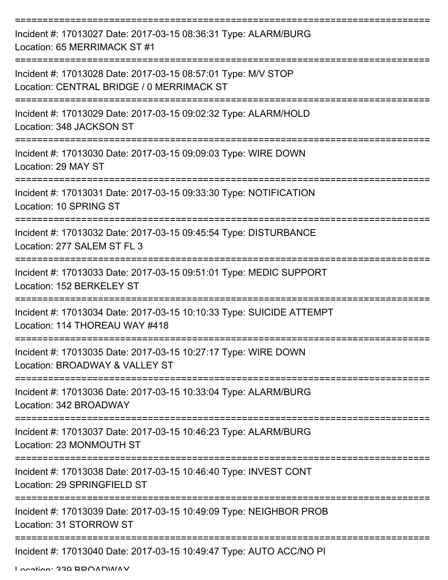| Incident #: 17013027 Date: 2017-03-15 08:36:31 Type: ALARM/BURG<br>Location: 65 MERRIMACK ST #1            |
|------------------------------------------------------------------------------------------------------------|
| Incident #: 17013028 Date: 2017-03-15 08:57:01 Type: M/V STOP<br>Location: CENTRAL BRIDGE / 0 MERRIMACK ST |
| Incident #: 17013029 Date: 2017-03-15 09:02:32 Type: ALARM/HOLD<br>Location: 348 JACKSON ST                |
| Incident #: 17013030 Date: 2017-03-15 09:09:03 Type: WIRE DOWN<br>Location: 29 MAY ST                      |
| Incident #: 17013031 Date: 2017-03-15 09:33:30 Type: NOTIFICATION<br>Location: 10 SPRING ST                |
| Incident #: 17013032 Date: 2017-03-15 09:45:54 Type: DISTURBANCE<br>Location: 277 SALEM ST FL 3            |
| Incident #: 17013033 Date: 2017-03-15 09:51:01 Type: MEDIC SUPPORT<br>Location: 152 BERKELEY ST            |
| Incident #: 17013034 Date: 2017-03-15 10:10:33 Type: SUICIDE ATTEMPT<br>Location: 114 THOREAU WAY #418     |
| Incident #: 17013035 Date: 2017-03-15 10:27:17 Type: WIRE DOWN<br>Location: BROADWAY & VALLEY ST           |
| Incident #: 17013036 Date: 2017-03-15 10:33:04 Type: ALARM/BURG<br>Location: 342 BROADWAY                  |
| Incident #: 17013037 Date: 2017-03-15 10:46:23 Type: ALARM/BURG<br>Location: 23 MONMOUTH ST                |
| Incident #: 17013038 Date: 2017-03-15 10:46:40 Type: INVEST CONT<br>Location: 29 SPRINGFIELD ST            |
| Incident #: 17013039 Date: 2017-03-15 10:49:09 Type: NEIGHBOR PROB<br>Location: 31 STORROW ST              |
| Incident #: 17013040 Date: 2017-03-15 10:49:47 Type: AUTO ACC/NO PI                                        |

Location: 339 BROADWAY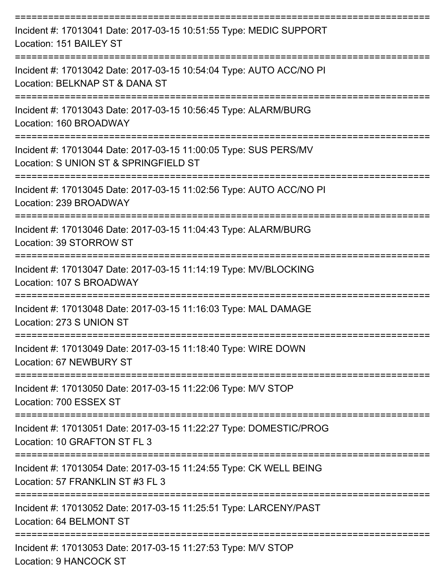| Incident #: 17013041 Date: 2017-03-15 10:51:55 Type: MEDIC SUPPORT<br>Location: 151 BAILEY ST                                      |
|------------------------------------------------------------------------------------------------------------------------------------|
| Incident #: 17013042 Date: 2017-03-15 10:54:04 Type: AUTO ACC/NO PI<br>Location: BELKNAP ST & DANA ST                              |
| Incident #: 17013043 Date: 2017-03-15 10:56:45 Type: ALARM/BURG<br>Location: 160 BROADWAY                                          |
| Incident #: 17013044 Date: 2017-03-15 11:00:05 Type: SUS PERS/MV<br>Location: S UNION ST & SPRINGFIELD ST                          |
| Incident #: 17013045 Date: 2017-03-15 11:02:56 Type: AUTO ACC/NO PI<br>Location: 239 BROADWAY                                      |
| Incident #: 17013046 Date: 2017-03-15 11:04:43 Type: ALARM/BURG<br>Location: 39 STORROW ST                                         |
| Incident #: 17013047 Date: 2017-03-15 11:14:19 Type: MV/BLOCKING<br>Location: 107 S BROADWAY                                       |
| Incident #: 17013048 Date: 2017-03-15 11:16:03 Type: MAL DAMAGE<br>Location: 273 S UNION ST                                        |
| Incident #: 17013049 Date: 2017-03-15 11:18:40 Type: WIRE DOWN<br>Location: 67 NEWBURY ST                                          |
| Incident #: 17013050 Date: 2017-03-15 11:22:06 Type: M/V STOP<br>Location: 700 ESSEX ST                                            |
| ----------------------------<br>Incident #: 17013051 Date: 2017-03-15 11:22:27 Type: DOMESTIC/PROG<br>Location: 10 GRAFTON ST FL 3 |
| Incident #: 17013054 Date: 2017-03-15 11:24:55 Type: CK WELL BEING<br>Location: 57 FRANKLIN ST #3 FL 3                             |
| Incident #: 17013052 Date: 2017-03-15 11:25:51 Type: LARCENY/PAST<br>Location: 64 BELMONT ST                                       |
| Incident #: 17013053 Date: 2017-03-15 11:27:53 Type: M/V STOP<br><b>Location: 9 HANCOCK ST</b>                                     |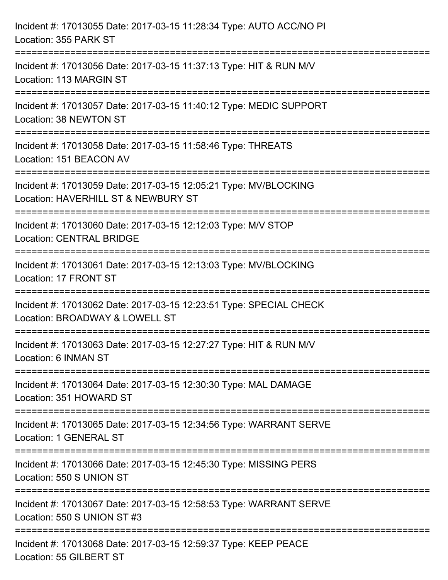| Incident #: 17013055 Date: 2017-03-15 11:28:34 Type: AUTO ACC/NO PI<br>Location: 355 PARK ST            |
|---------------------------------------------------------------------------------------------------------|
| Incident #: 17013056 Date: 2017-03-15 11:37:13 Type: HIT & RUN M/V<br>Location: 113 MARGIN ST           |
| Incident #: 17013057 Date: 2017-03-15 11:40:12 Type: MEDIC SUPPORT<br>Location: 38 NEWTON ST            |
| Incident #: 17013058 Date: 2017-03-15 11:58:46 Type: THREATS<br>Location: 151 BEACON AV                 |
| Incident #: 17013059 Date: 2017-03-15 12:05:21 Type: MV/BLOCKING<br>Location: HAVERHILL ST & NEWBURY ST |
| Incident #: 17013060 Date: 2017-03-15 12:12:03 Type: M/V STOP<br><b>Location: CENTRAL BRIDGE</b>        |
| Incident #: 17013061 Date: 2017-03-15 12:13:03 Type: MV/BLOCKING<br>Location: 17 FRONT ST               |
| Incident #: 17013062 Date: 2017-03-15 12:23:51 Type: SPECIAL CHECK<br>Location: BROADWAY & LOWELL ST    |
| Incident #: 17013063 Date: 2017-03-15 12:27:27 Type: HIT & RUN M/V<br>Location: 6 INMAN ST              |
| Incident #: 17013064 Date: 2017-03-15 12:30:30 Type: MAL DAMAGE<br>Location: 351 HOWARD ST              |
| Incident #: 17013065 Date: 2017-03-15 12:34:56 Type: WARRANT SERVE<br>Location: 1 GENERAL ST            |
| Incident #: 17013066 Date: 2017-03-15 12:45:30 Type: MISSING PERS<br>Location: 550 S UNION ST           |
| Incident #: 17013067 Date: 2017-03-15 12:58:53 Type: WARRANT SERVE<br>Location: 550 S UNION ST #3       |
| Incident #: 17013068 Date: 2017-03-15 12:59:37 Type: KEEP PEACE<br>Location: 55 GILBERT ST              |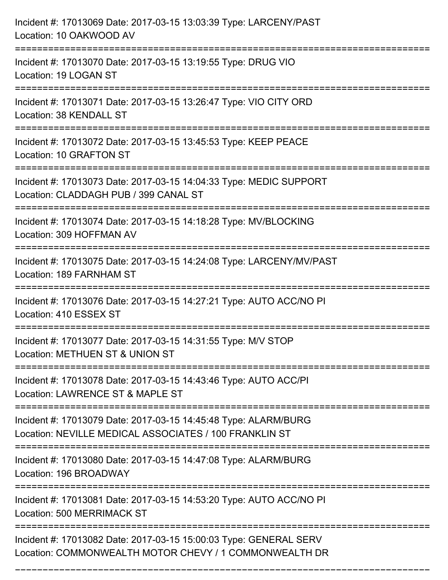| Incident #: 17013069 Date: 2017-03-15 13:03:39 Type: LARCENY/PAST<br>Location: 10 OAKWOOD AV                                |
|-----------------------------------------------------------------------------------------------------------------------------|
| Incident #: 17013070 Date: 2017-03-15 13:19:55 Type: DRUG VIO<br>Location: 19 LOGAN ST                                      |
| Incident #: 17013071 Date: 2017-03-15 13:26:47 Type: VIO CITY ORD<br>Location: 38 KENDALL ST                                |
| Incident #: 17013072 Date: 2017-03-15 13:45:53 Type: KEEP PEACE<br>Location: 10 GRAFTON ST                                  |
| Incident #: 17013073 Date: 2017-03-15 14:04:33 Type: MEDIC SUPPORT<br>Location: CLADDAGH PUB / 399 CANAL ST                 |
| Incident #: 17013074 Date: 2017-03-15 14:18:28 Type: MV/BLOCKING<br>Location: 309 HOFFMAN AV                                |
| Incident #: 17013075 Date: 2017-03-15 14:24:08 Type: LARCENY/MV/PAST<br>Location: 189 FARNHAM ST                            |
| Incident #: 17013076 Date: 2017-03-15 14:27:21 Type: AUTO ACC/NO PI<br>Location: 410 ESSEX ST                               |
| Incident #: 17013077 Date: 2017-03-15 14:31:55 Type: M/V STOP<br>Location: METHUEN ST & UNION ST                            |
| Incident #: 17013078 Date: 2017-03-15 14:43:46 Type: AUTO ACC/PI<br>Location: LAWRENCE ST & MAPLE ST                        |
| Incident #: 17013079 Date: 2017-03-15 14:45:48 Type: ALARM/BURG<br>Location: NEVILLE MEDICAL ASSOCIATES / 100 FRANKLIN ST   |
| Incident #: 17013080 Date: 2017-03-15 14:47:08 Type: ALARM/BURG<br>Location: 196 BROADWAY                                   |
| Incident #: 17013081 Date: 2017-03-15 14:53:20 Type: AUTO ACC/NO PI<br>Location: 500 MERRIMACK ST                           |
| Incident #: 17013082 Date: 2017-03-15 15:00:03 Type: GENERAL SERV<br>Location: COMMONWEALTH MOTOR CHEVY / 1 COMMONWEALTH DR |

===========================================================================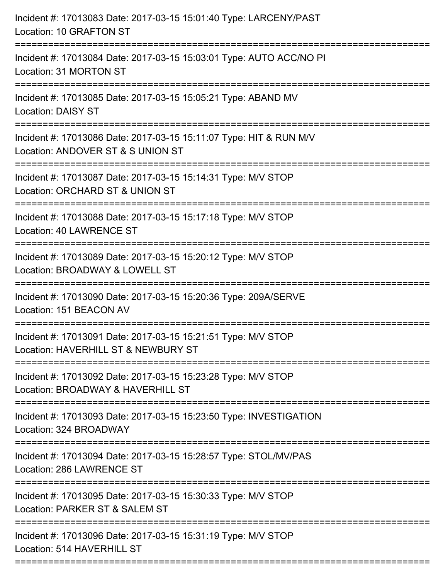| Incident #: 17013083 Date: 2017-03-15 15:01:40 Type: LARCENY/PAST<br>Location: 10 GRAFTON ST                             |
|--------------------------------------------------------------------------------------------------------------------------|
| Incident #: 17013084 Date: 2017-03-15 15:03:01 Type: AUTO ACC/NO PI<br>Location: 31 MORTON ST                            |
| Incident #: 17013085 Date: 2017-03-15 15:05:21 Type: ABAND MV<br><b>Location: DAISY ST</b>                               |
| Incident #: 17013086 Date: 2017-03-15 15:11:07 Type: HIT & RUN M/V<br>Location: ANDOVER ST & S UNION ST                  |
| Incident #: 17013087 Date: 2017-03-15 15:14:31 Type: M/V STOP<br>Location: ORCHARD ST & UNION ST<br>==================== |
| Incident #: 17013088 Date: 2017-03-15 15:17:18 Type: M/V STOP<br>Location: 40 LAWRENCE ST                                |
| Incident #: 17013089 Date: 2017-03-15 15:20:12 Type: M/V STOP<br>Location: BROADWAY & LOWELL ST                          |
| Incident #: 17013090 Date: 2017-03-15 15:20:36 Type: 209A/SERVE<br>Location: 151 BEACON AV                               |
| Incident #: 17013091 Date: 2017-03-15 15:21:51 Type: M/V STOP<br>Location: HAVERHILL ST & NEWBURY ST                     |
| Incident #: 17013092 Date: 2017-03-15 15:23:28 Type: M/V STOP<br>Location: BROADWAY & HAVERHILL ST                       |
| Incident #: 17013093 Date: 2017-03-15 15:23:50 Type: INVESTIGATION<br>Location: 324 BROADWAY                             |
| Incident #: 17013094 Date: 2017-03-15 15:28:57 Type: STOL/MV/PAS<br>Location: 286 LAWRENCE ST                            |
| Incident #: 17013095 Date: 2017-03-15 15:30:33 Type: M/V STOP<br>Location: PARKER ST & SALEM ST                          |
| Incident #: 17013096 Date: 2017-03-15 15:31:19 Type: M/V STOP<br>Location: 514 HAVERHILL ST                              |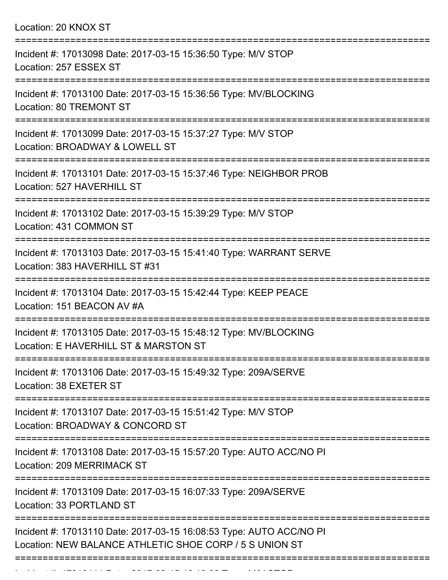| Location: 20 KNOX ST |  |  |  |
|----------------------|--|--|--|
|----------------------|--|--|--|

| Incident #: 17013098 Date: 2017-03-15 15:36:50 Type: M/V STOP<br>Location: 257 ESSEX ST                                        |
|--------------------------------------------------------------------------------------------------------------------------------|
| Incident #: 17013100 Date: 2017-03-15 15:36:56 Type: MV/BLOCKING<br>Location: 80 TREMONT ST<br>-----------                     |
| Incident #: 17013099 Date: 2017-03-15 15:37:27 Type: M/V STOP<br>Location: BROADWAY & LOWELL ST                                |
| Incident #: 17013101 Date: 2017-03-15 15:37:46 Type: NEIGHBOR PROB<br>Location: 527 HAVERHILL ST                               |
| Incident #: 17013102 Date: 2017-03-15 15:39:29 Type: M/V STOP<br>Location: 431 COMMON ST                                       |
| Incident #: 17013103 Date: 2017-03-15 15:41:40 Type: WARRANT SERVE<br>Location: 383 HAVERHILL ST #31                           |
| Incident #: 17013104 Date: 2017-03-15 15:42:44 Type: KEEP PEACE<br>Location: 151 BEACON AV #A                                  |
| Incident #: 17013105 Date: 2017-03-15 15:48:12 Type: MV/BLOCKING<br>Location: E HAVERHILL ST & MARSTON ST                      |
| Incident #: 17013106 Date: 2017-03-15 15:49:32 Type: 209A/SERVE<br>Location: 38 EXETER ST                                      |
| Incident #: 17013107 Date: 2017-03-15 15:51:42 Type: M/V STOP<br>Location: BROADWAY & CONCORD ST                               |
| Incident #: 17013108 Date: 2017-03-15 15:57:20 Type: AUTO ACC/NO PI<br>Location: 209 MERRIMACK ST                              |
| Incident #: 17013109 Date: 2017-03-15 16:07:33 Type: 209A/SERVE<br>Location: 33 PORTLAND ST                                    |
| Incident #: 17013110 Date: 2017-03-15 16:08:53 Type: AUTO ACC/NO PI<br>Location: NEW BALANCE ATHLETIC SHOE CORP / 5 S UNION ST |
|                                                                                                                                |

Incident #: 17013111 Date: 2017 03 15 16:10:32 Type: M/V STOP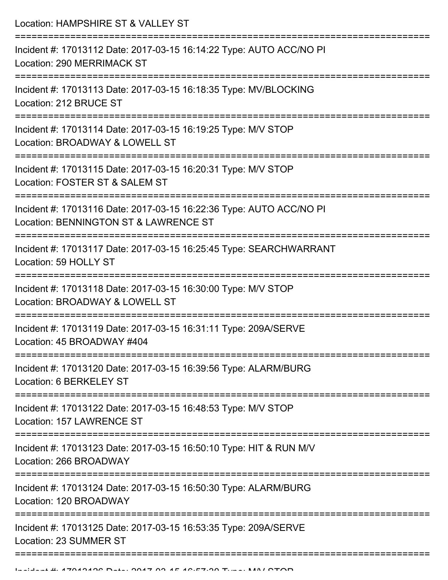| Location: HAMPSHIRE ST & VALLEY ST                                                                           |
|--------------------------------------------------------------------------------------------------------------|
| Incident #: 17013112 Date: 2017-03-15 16:14:22 Type: AUTO ACC/NO PI<br>Location: 290 MERRIMACK ST            |
| Incident #: 17013113 Date: 2017-03-15 16:18:35 Type: MV/BLOCKING<br>Location: 212 BRUCE ST                   |
| Incident #: 17013114 Date: 2017-03-15 16:19:25 Type: M/V STOP<br>Location: BROADWAY & LOWELL ST              |
| Incident #: 17013115 Date: 2017-03-15 16:20:31 Type: M/V STOP<br>Location: FOSTER ST & SALEM ST              |
| Incident #: 17013116 Date: 2017-03-15 16:22:36 Type: AUTO ACC/NO PI<br>Location: BENNINGTON ST & LAWRENCE ST |
| Incident #: 17013117 Date: 2017-03-15 16:25:45 Type: SEARCHWARRANT<br>Location: 59 HOLLY ST                  |
| Incident #: 17013118 Date: 2017-03-15 16:30:00 Type: M/V STOP<br>Location: BROADWAY & LOWELL ST              |
| Incident #: 17013119 Date: 2017-03-15 16:31:11 Type: 209A/SERVE<br>Location: 45 BROADWAY #404                |
| Incident #: 17013120 Date: 2017-03-15 16:39:56 Type: ALARM/BURG<br>Location: 6 BERKELEY ST                   |
| Incident #: 17013122 Date: 2017-03-15 16:48:53 Type: M/V STOP<br>Location: 157 LAWRENCE ST                   |
| Incident #: 17013123 Date: 2017-03-15 16:50:10 Type: HIT & RUN M/V<br>Location: 266 BROADWAY                 |
| Incident #: 17013124 Date: 2017-03-15 16:50:30 Type: ALARM/BURG<br>Location: 120 BROADWAY                    |
| Incident #: 17013125 Date: 2017-03-15 16:53:35 Type: 209A/SERVE<br>Location: 23 SUMMER ST                    |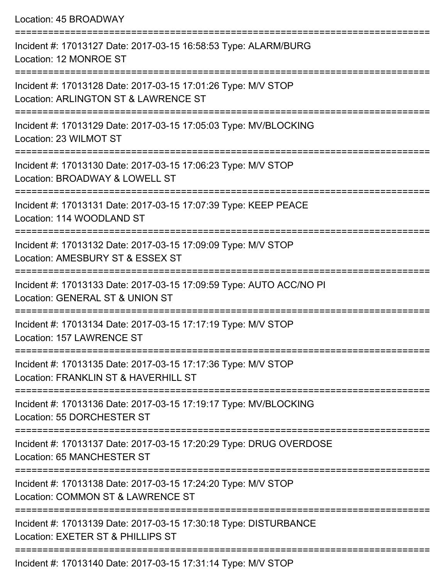Location: 45 BROADWAY =========================================================================== Incident #: 17013127 Date: 2017-03-15 16:58:53 Type: ALARM/BURG Location: 12 MONROE ST =========================================================================== Incident #: 17013128 Date: 2017-03-15 17:01:26 Type: M/V STOP Location: ARLINGTON ST & LAWRENCE ST =========================================================================== Incident #: 17013129 Date: 2017-03-15 17:05:03 Type: MV/BLOCKING Location: 23 WILMOT ST =========================================================================== Incident #: 17013130 Date: 2017-03-15 17:06:23 Type: M/V STOP Location: BROADWAY & LOWELL ST =========================================================================== Incident #: 17013131 Date: 2017-03-15 17:07:39 Type: KEEP PEACE Location: 114 WOODLAND ST =========================================================================== Incident #: 17013132 Date: 2017-03-15 17:09:09 Type: M/V STOP Location: AMESBURY ST & ESSEX ST =========================================================================== Incident #: 17013133 Date: 2017-03-15 17:09:59 Type: AUTO ACC/NO PI Location: GENERAL ST & UNION ST =========================================================================== Incident #: 17013134 Date: 2017-03-15 17:17:19 Type: M/V STOP Location: 157 LAWRENCE ST =========================================================================== Incident #: 17013135 Date: 2017-03-15 17:17:36 Type: M/V STOP Location: FRANKLIN ST & HAVERHILL ST =========================================================================== Incident #: 17013136 Date: 2017-03-15 17:19:17 Type: MV/BLOCKING Location: 55 DORCHESTER ST =========================================================================== Incident #: 17013137 Date: 2017-03-15 17:20:29 Type: DRUG OVERDOSE Location: 65 MANCHESTER ST =========================================================================== Incident #: 17013138 Date: 2017-03-15 17:24:20 Type: M/V STOP Location: COMMON ST & LAWRENCE ST =========================================================================== Incident #: 17013139 Date: 2017-03-15 17:30:18 Type: DISTURBANCE Location: EXETER ST & PHILLIPS ST ===========================================================================

Incident #: 17013140 Date: 2017-03-15 17:31:14 Type: M/V STOP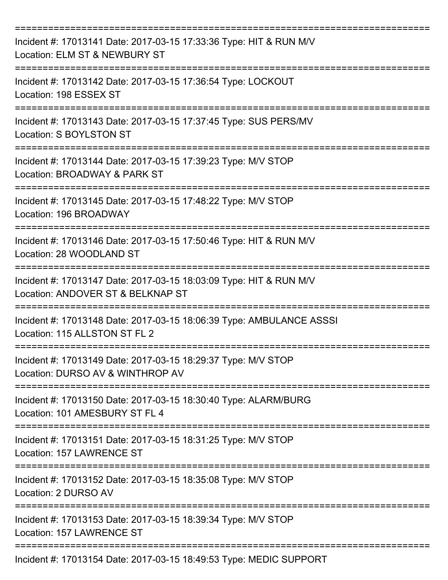| Incident #: 17013141 Date: 2017-03-15 17:33:36 Type: HIT & RUN M/V<br>Location: ELM ST & NEWBURY ST     |
|---------------------------------------------------------------------------------------------------------|
| Incident #: 17013142 Date: 2017-03-15 17:36:54 Type: LOCKOUT<br>Location: 198 ESSEX ST                  |
| Incident #: 17013143 Date: 2017-03-15 17:37:45 Type: SUS PERS/MV<br>Location: S BOYLSTON ST             |
| Incident #: 17013144 Date: 2017-03-15 17:39:23 Type: M/V STOP<br>Location: BROADWAY & PARK ST           |
| Incident #: 17013145 Date: 2017-03-15 17:48:22 Type: M/V STOP<br>Location: 196 BROADWAY                 |
| Incident #: 17013146 Date: 2017-03-15 17:50:46 Type: HIT & RUN M/V<br>Location: 28 WOODLAND ST          |
| Incident #: 17013147 Date: 2017-03-15 18:03:09 Type: HIT & RUN M/V<br>Location: ANDOVER ST & BELKNAP ST |
| Incident #: 17013148 Date: 2017-03-15 18:06:39 Type: AMBULANCE ASSSI<br>Location: 115 ALLSTON ST FL 2   |
| Incident #: 17013149 Date: 2017-03-15 18:29:37 Type: M/V STOP<br>Location: DURSO AV & WINTHROP AV       |
| Incident #: 17013150 Date: 2017-03-15 18:30:40 Type: ALARM/BURG<br>Location: 101 AMESBURY ST FL 4       |
| Incident #: 17013151 Date: 2017-03-15 18:31:25 Type: M/V STOP<br>Location: 157 LAWRENCE ST              |
| Incident #: 17013152 Date: 2017-03-15 18:35:08 Type: M/V STOP<br>Location: 2 DURSO AV                   |
| Incident #: 17013153 Date: 2017-03-15 18:39:34 Type: M/V STOP<br>Location: 157 LAWRENCE ST              |
| Incident #: 17013154 Date: 2017-03-15 18:49:53 Type: MEDIC SUPPORT                                      |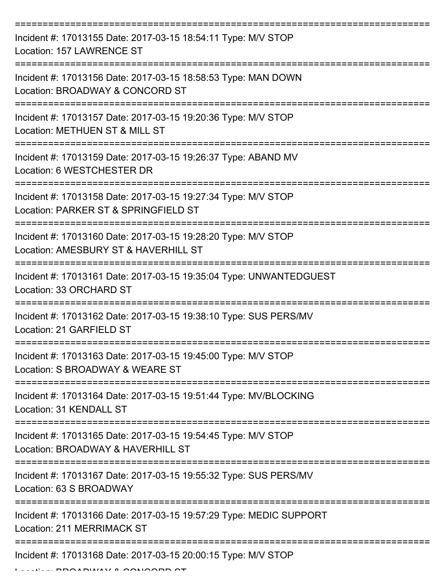| Incident #: 17013155 Date: 2017-03-15 18:54:11 Type: M/V STOP<br>Location: 157 LAWRENCE ST              |
|---------------------------------------------------------------------------------------------------------|
| Incident #: 17013156 Date: 2017-03-15 18:58:53 Type: MAN DOWN<br>Location: BROADWAY & CONCORD ST        |
| Incident #: 17013157 Date: 2017-03-15 19:20:36 Type: M/V STOP<br>Location: METHUEN ST & MILL ST         |
| Incident #: 17013159 Date: 2017-03-15 19:26:37 Type: ABAND MV<br>Location: 6 WESTCHESTER DR             |
| Incident #: 17013158 Date: 2017-03-15 19:27:34 Type: M/V STOP<br>Location: PARKER ST & SPRINGFIELD ST   |
| Incident #: 17013160 Date: 2017-03-15 19:28:20 Type: M/V STOP<br>Location: AMESBURY ST & HAVERHILL ST   |
| Incident #: 17013161 Date: 2017-03-15 19:35:04 Type: UNWANTEDGUEST<br>Location: 33 ORCHARD ST           |
| Incident #: 17013162 Date: 2017-03-15 19:38:10 Type: SUS PERS/MV<br>Location: 21 GARFIELD ST            |
| Incident #: 17013163 Date: 2017-03-15 19:45:00 Type: M/V STOP<br>Location: S BROADWAY & WEARE ST        |
| Incident #: 17013164 Date: 2017-03-15 19:51:44 Type: MV/BLOCKING<br>Location: 31 KENDALL ST             |
| Incident #: 17013165 Date: 2017-03-15 19:54:45 Type: M/V STOP<br>Location: BROADWAY & HAVERHILL ST      |
| Incident #: 17013167 Date: 2017-03-15 19:55:32 Type: SUS PERS/MV<br>Location: 63 S BROADWAY             |
| Incident #: 17013166 Date: 2017-03-15 19:57:29 Type: MEDIC SUPPORT<br><b>Location: 211 MERRIMACK ST</b> |
| Incident #: 17013168 Date: 2017-03-15 20:00:15 Type: M/V STOP                                           |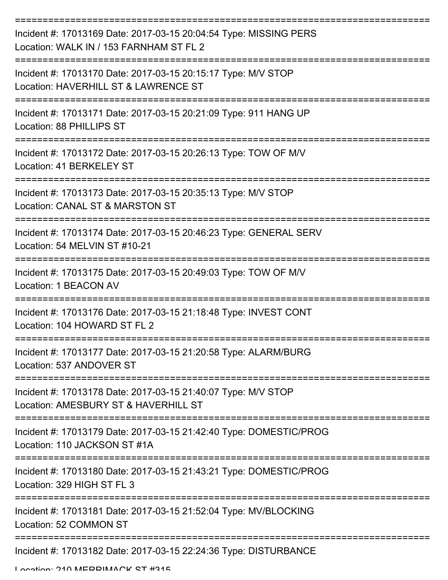| Incident #: 17013169 Date: 2017-03-15 20:04:54 Type: MISSING PERS<br>Location: WALK IN / 153 FARNHAM ST FL 2 |
|--------------------------------------------------------------------------------------------------------------|
| Incident #: 17013170 Date: 2017-03-15 20:15:17 Type: M/V STOP<br>Location: HAVERHILL ST & LAWRENCE ST        |
| Incident #: 17013171 Date: 2017-03-15 20:21:09 Type: 911 HANG UP<br>Location: 88 PHILLIPS ST                 |
| Incident #: 17013172 Date: 2017-03-15 20:26:13 Type: TOW OF M/V<br>Location: 41 BERKELEY ST                  |
| Incident #: 17013173 Date: 2017-03-15 20:35:13 Type: M/V STOP<br>Location: CANAL ST & MARSTON ST             |
| Incident #: 17013174 Date: 2017-03-15 20:46:23 Type: GENERAL SERV<br>Location: 54 MELVIN ST #10-21           |
| Incident #: 17013175 Date: 2017-03-15 20:49:03 Type: TOW OF M/V<br>Location: 1 BEACON AV                     |
| Incident #: 17013176 Date: 2017-03-15 21:18:48 Type: INVEST CONT<br>Location: 104 HOWARD ST FL 2             |
| Incident #: 17013177 Date: 2017-03-15 21:20:58 Type: ALARM/BURG<br>Location: 537 ANDOVER ST                  |
| Incident #: 17013178 Date: 2017-03-15 21:40:07 Type: M/V STOP<br>Location: AMESBURY ST & HAVERHILL ST        |
| Incident #: 17013179 Date: 2017-03-15 21:42:40 Type: DOMESTIC/PROG<br>Location: 110 JACKSON ST #1A           |
| Incident #: 17013180 Date: 2017-03-15 21:43:21 Type: DOMESTIC/PROG<br>Location: 329 HIGH ST FL 3             |
| Incident #: 17013181 Date: 2017-03-15 21:52:04 Type: MV/BLOCKING<br>Location: 52 COMMON ST                   |
| Incident #: 17013182 Date: 2017-03-15 22:24:36 Type: DISTURBANCE                                             |

Location: 210 MEDDIMACK ST #315